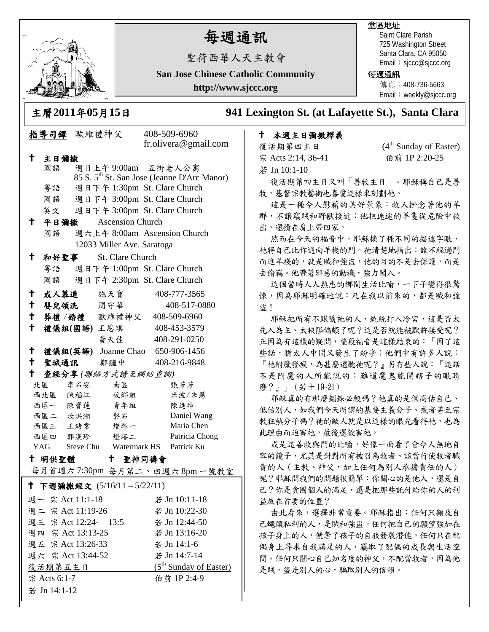

# 每週通訊

堂區地址

每週通訊

Saint Clare Parish 725 Washington Street Santa Clara, CA 95050 Email: sjccc@sjccc.org

傳真:408-736-5663 Email: weekly@sjccc.org

聖荷西華人天主教會 **San Jose Chinese Catholic Community**

**http://www.sjccc.org**

主曆**2011**年**05**月**15**日 **941 Lexington St. (at Lafayette St.), Santa Clara** 

### 本週主日彌撒釋義

| 復活期第四主日            | $(4th$ Sunday of Easter) |
|--------------------|--------------------------|
| 宗 Acts 2:14, 36-41 | 伯前 1P 2:20-25            |
| 若 Jn 10:1-10       |                          |
|                    |                          |

復活期第四主日又叫「善牧主日」。耶穌稱自己是善 牧,基督宗教藝術也喜愛這樣來刻劃祂。

這是一種令人慰藉的美好景象:牧人掛念著他的羊 群,不讓竊賊和野獸接近;他把迷途的羊隻從危險中救 出,還揹在肩上帶回家。

然而在今天的福音中,耶穌換了種不同的描述字眼, 祂將自己比作通向羊棧的門。祂清楚地指出:誰不經過門 而進羊棧的,就是賊和強盜,他的目的不是去保護,而是 去偷竊。他帶著邪惡的動機,強力闖入。

這個當時人人熟悉的鄉間生活比喻,一下子變得很驚 悚,因為耶穌明確地說:凡在我以前來的,都是賊和強 盗!

耶穌把所有不跟隨祂的人,統統打入冷宮,這是否太 先入為主、太狹隘偏頗了呢?這是否就能被默許接受呢? 正因為有這樣的疑問,整段福音是這樣結束的:「因了這 些話,猶太人中間又發生了紛爭;他們中有許多人說: 『祂附魔發瘋,為甚麼還聽祂呢?』另有些人說:『這話 不是附魔的人所能說的;難道魔鬼能開瞎子的眼睛 麼?』」(若十19~21)

耶穌真的有那麼錙銖必較嗎?祂真的是個高估自己、 低估別人,如我們今天所謂的基要主義分子、或者甚至宗 教狂熱分子嗎?祂的敵人就是以這樣的眼光看待祂,也為 此理由而迫害祂,最後還殺害祂。

或是這善牧與門的比喻,好像一面看了會令人無地自 容的鏡子,尤其是針對所有被召為牧者、該當行使牧者職 責的人(主教、神父,加上任何為別人承擔責任的人) 呢?耶穌問我們的問題很簡單:你關心的是他人,還是自 己?你是貪圖個人的滿足,還是把那些託付給你的人的利 益放在首要的位置?

由此看來,選擇非常重要。耶穌指出:任何只顧及自 己蠅頭私利的人,是賊和強盜。任何把自己的願望強加在 孩子身上的人,傂奪了孩子的自我發展潛能。任何只在配 偶身上尋求自我滿足的人,竊取了配偶的成長與生活空 間。任何只關心自己知名度的神父,不配當牧者,因為他 是賊,盜走別人的心,騙取別人的信賴。

| 指導司鐸 歐維禮神父                      |               |                              |                                       |                                    | 408-509-6960                                            |  |  |  |
|---------------------------------|---------------|------------------------------|---------------------------------------|------------------------------------|---------------------------------------------------------|--|--|--|
|                                 |               |                              |                                       |                                    | fr.olivera@gmail.com                                    |  |  |  |
| t.                              | 主日彌撒          |                              |                                       |                                    |                                                         |  |  |  |
|                                 | 國語            |                              | 週日上午9:00am 五街老人公寓                     |                                    |                                                         |  |  |  |
|                                 |               |                              |                                       |                                    | 85 S. 5 <sup>th</sup> St. San Jose (Jeanne D'Arc Manor) |  |  |  |
|                                 | 粤語            |                              | 週日下午 1:30pm St. Clare Church          |                                    |                                                         |  |  |  |
|                                 | 國語            |                              | 週日下午 3:00pm St. Clare Church          |                                    |                                                         |  |  |  |
|                                 | 英文            | 週日下午 3:00pm St. Clare Church |                                       |                                    |                                                         |  |  |  |
| Ϋ.                              | 平日彌撒          |                              | <b>Ascension Church</b>               |                                    |                                                         |  |  |  |
|                                 | 國語            |                              | 週六上午 8:00am Ascension Church          |                                    |                                                         |  |  |  |
| 12033 Miller Ave. Saratoga      |               |                              |                                       |                                    |                                                         |  |  |  |
| $^{\dagger}$                    | 和好聖事          | St. Clare Church             |                                       |                                    |                                                         |  |  |  |
|                                 | 粵語            | 週日下午 1:00pm St. Clare Church |                                       |                                    |                                                         |  |  |  |
|                                 | 國語            |                              | 週日下午 2:30pm St. Clare Church          |                                    |                                                         |  |  |  |
|                                 |               |                              | † 成人慕道  施天寶                           |                                    | 408-777-3565                                            |  |  |  |
| $\pm$                           |               |                              | 嬰兒領洗 周守華                              |                                    | 408-517-0880                                            |  |  |  |
|                                 |               |                              | 十 葬禮 /婚禮 欧维禮神父                        |                                    | 408-509-6960                                            |  |  |  |
| † .                             |               |                              | 禮儀組(國語)王恩琪                            |                                    | 408-453-3579                                            |  |  |  |
|                                 |               |                              | 黄天佳                                   |                                    | 408-291-0250                                            |  |  |  |
| ↑                               |               |                              | 禮儀組(英語) Joanne Chao 650-906-1456      |                                    |                                                         |  |  |  |
|                                 |               |                              | 十 聖城通訊  鄭繼中                           |                                    | 408-216-9848                                            |  |  |  |
| t                               |               |                              | 查經分享(聯絡方式請至網站查詢)                      |                                    |                                                         |  |  |  |
|                                 | 北區 李石安        |                              | 南區                                    |                                    | 張芳芳                                                     |  |  |  |
|                                 | --<br>西北區 陳稻江 |                              | 故鄉組                                   |                                    | 米波/朱慧                                                   |  |  |  |
|                                 | 西區一 陳寶蓮       |                              | 青年組                                   |                                    | 陳進坤                                                     |  |  |  |
|                                 | 西區二 汝洪湘       |                              | 磐石                                    |                                    | Daniel Wang                                             |  |  |  |
|                                 |               |                              | 西區三 王緒常 燈塔一                           |                                    | Maria Chen                                              |  |  |  |
|                                 |               |                              | 西區四 郭漢珍 燈塔二                           |                                    | Patricia Chong                                          |  |  |  |
|                                 |               |                              | YAG Steve Chu Watermark HS Patrick Ku |                                    |                                                         |  |  |  |
| $^{\dagger}$<br>十 明供聖體<br>聖神同禱會 |               |                              |                                       |                                    |                                                         |  |  |  |
|                                 |               |                              |                                       |                                    | 每月首週六7:30pm 每月第二、四週六8pm一號教室                             |  |  |  |
| + 下週彌撒經文 (5/16/11-5/22/11)      |               |                              |                                       |                                    |                                                         |  |  |  |
| 週一 宗 Act 11:1-18                |               |                              |                                       | 若 Jn 10:11-18                      |                                                         |  |  |  |
| 週二 宗 Act 11:19-26               |               |                              |                                       | 若 Jn 10:22-30                      |                                                         |  |  |  |
| 週三 宗 Act 12:24- 13:5            |               |                              |                                       | 若 Jn 12:44-50                      |                                                         |  |  |  |
| 週四 宗 Act 13:13-25               |               |                              |                                       | 若 Jn 13:16-20                      |                                                         |  |  |  |
| 週五 宗 Act 13:26-33               |               |                              |                                       | 若 Jn 14:1-6                        |                                                         |  |  |  |
| 週六 宗 Act 13:44-52               |               |                              |                                       | 若 Jn 14:7-14                       |                                                         |  |  |  |
| 復活期第五主日                         |               |                              |                                       | (5 <sup>th</sup> Sunday of Easter) |                                                         |  |  |  |
| 伯前 1P 2:4-9<br>宗 Acts 6:1-7     |               |                              |                                       |                                    |                                                         |  |  |  |
| 若 Jn 14:1-12                    |               |                              |                                       |                                    |                                                         |  |  |  |